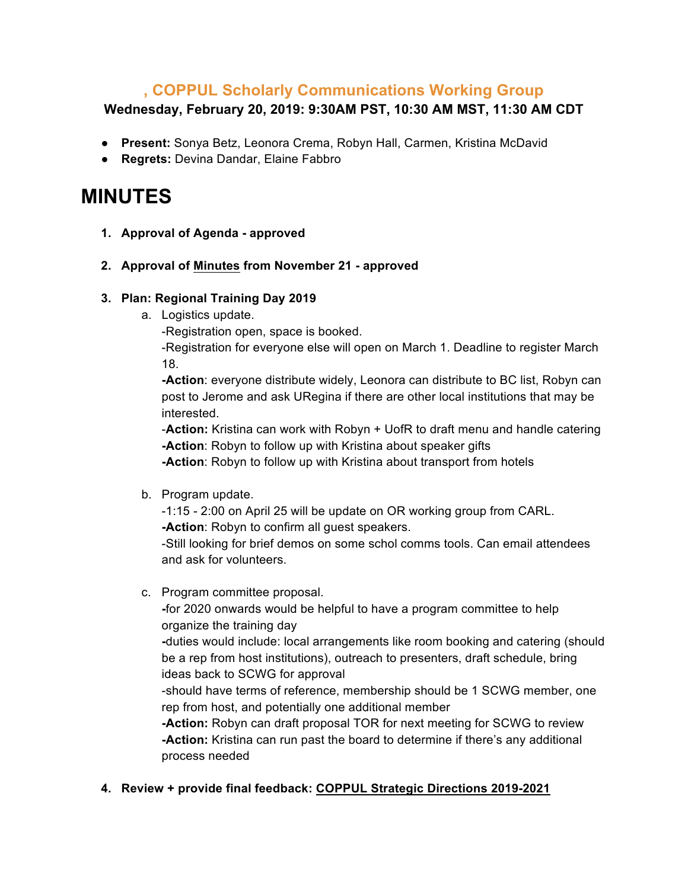## **, COPPUL Scholarly Communications Working Group**

## **Wednesday, February 20, 2019: 9:30AM PST, 10:30 AM MST, 11:30 AM CDT**

- **Present:** Sonya Betz, Leonora Crema, Robyn Hall, Carmen, Kristina McDavid
- **Regrets:** Devina Dandar, Elaine Fabbro

# **MINUTES**

- **1. Approval of Agenda - approved**
- **2. Approval of Minutes from November 21 - approved**

#### **3. Plan: Regional Training Day 2019**

a. Logistics update.

-Registration open, space is booked.

-Registration for everyone else will open on March 1. Deadline to register March 18.

**-Action**: everyone distribute widely, Leonora can distribute to BC list, Robyn can post to Jerome and ask URegina if there are other local institutions that may be interested.

-**Action:** Kristina can work with Robyn + UofR to draft menu and handle catering **-Action**: Robyn to follow up with Kristina about speaker gifts

**-Action**: Robyn to follow up with Kristina about transport from hotels

b. Program update.

-1:15 - 2:00 on April 25 will be update on OR working group from CARL. **-Action**: Robyn to confirm all guest speakers.

-Still looking for brief demos on some schol comms tools. Can email attendees and ask for volunteers.

#### c. Program committee proposal.

**-**for 2020 onwards would be helpful to have a program committee to help organize the training day

**-**duties would include: local arrangements like room booking and catering (should be a rep from host institutions), outreach to presenters, draft schedule, bring ideas back to SCWG for approval

-should have terms of reference, membership should be 1 SCWG member, one rep from host, and potentially one additional member

**-Action:** Robyn can draft proposal TOR for next meeting for SCWG to review **-Action:** Kristina can run past the board to determine if there's any additional process needed

#### **4. Review + provide final feedback: COPPUL Strategic Directions 2019-2021**